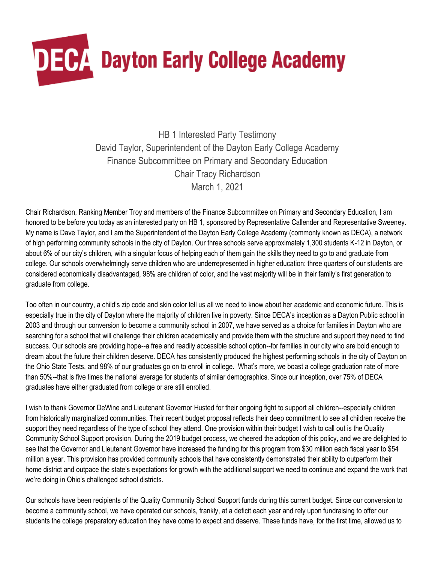

HB 1 Interested Party Testimony David Taylor, Superintendent of the Dayton Early College Academy Finance Subcommittee on Primary and Secondary Education Chair Tracy Richardson March 1, 2021

Chair Richardson, Ranking Member Troy and members of the Finance Subcommittee on Primary and Secondary Education, I am honored to be before you today as an interested party on HB 1, sponsored by Representative Callender and Representative Sweeney. My name is Dave Taylor, and I am the Superintendent of the Dayton Early College Academy (commonly known as DECA), a network of high performing community schools in the city of Dayton. Our three schools serve approximately 1,300 students K-12 in Dayton, or about 6% of our city's children, with a singular focus of helping each of them gain the skills they need to go to and graduate from college. Our schools overwhelmingly serve children who are underrepresented in higher education: three quarters of our students are considered economically disadvantaged, 98% are children of color, and the vast majority will be in their family's first generation to graduate from college.

Too often in our country, a child's zip code and skin color tell us all we need to know about her academic and economic future. This is especially true in the city of Dayton where the majority of children live in poverty. Since DECA's inception as a Dayton Public school in 2003 and through our conversion to become a community school in 2007, we have served as a choice for families in Dayton who are searching for a school that will challenge their children academically and provide them with the structure and support they need to find success. Our schools are providing hope--a free and readily accessible school option--for families in our city who are bold enough to dream about the future their children deserve. DECA has consistently produced the highest performing schools in the city of Dayton on the Ohio State Tests, and 98% of our graduates go on to enroll in college. What's more, we boast a college graduation rate of more than 50%--that is five times the national average for students of similar demographics. Since our inception, over 75% of DECA graduates have either graduated from college or are still enrolled.

I wish to thank Governor DeWine and Lieutenant Governor Husted for their ongoing fight to support all children--especially children from historically marginalized communities. Their recent budget proposal reflects their deep commitment to see all children receive the support they need regardless of the type of school they attend. One provision within their budget I wish to call out is the Quality Community School Support provision. During the 2019 budget process, we cheered the adoption of this policy, and we are delighted to see that the Governor and Lieutenant Governor have increased the funding for this program from \$30 million each fiscal year to \$54 million a year. This provision has provided community schools that have consistently demonstrated their ability to outperform their home district and outpace the state's expectations for growth with the additional support we need to continue and expand the work that we're doing in Ohio's challenged school districts.

Our schools have been recipients of the Quality Community School Support funds during this current budget. Since our conversion to become a community school, we have operated our schools, frankly, at a deficit each year and rely upon fundraising to offer our students the college preparatory education they have come to expect and deserve. These funds have, for the first time, allowed us to